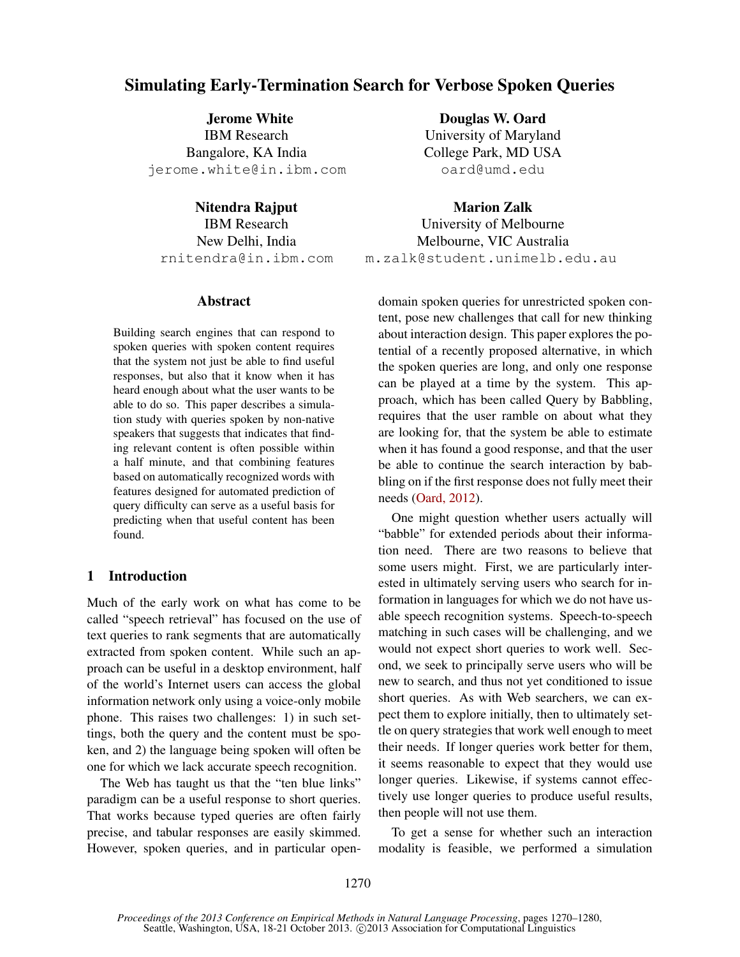# Simulating Early-Termination Search for Verbose Spoken Queries

Jerome White IBM Research Bangalore, KA India jerome.white@in.ibm.com

Nitendra Rajput IBM Research New Delhi, India rnitendra@in.ibm.com

# Abstract

Building search engines that can respond to spoken queries with spoken content requires that the system not just be able to find useful responses, but also that it know when it has heard enough about what the user wants to be able to do so. This paper describes a simulation study with queries spoken by non-native speakers that suggests that indicates that finding relevant content is often possible within a half minute, and that combining features based on automatically recognized words with features designed for automated prediction of query difficulty can serve as a useful basis for predicting when that useful content has been found.

# 1 Introduction

Much of the early work on what has come to be called "speech retrieval" has focused on the use of text queries to rank segments that are automatically extracted from spoken content. While such an approach can be useful in a desktop environment, half of the world's Internet users can access the global information network only using a voice-only mobile phone. This raises two challenges: 1) in such settings, both the query and the content must be spoken, and 2) the language being spoken will often be one for which we lack accurate speech recognition.

The Web has taught us that the "ten blue links" paradigm can be a useful response to short queries. That works because typed queries are often fairly precise, and tabular responses are easily skimmed. However, spoken queries, and in particular open-

Douglas W. Oard University of Maryland College Park, MD USA oard@umd.edu

Marion Zalk University of Melbourne Melbourne, VIC Australia m.zalk@student.unimelb.edu.au

domain spoken queries for unrestricted spoken content, pose new challenges that call for new thinking about interaction design. This paper explores the potential of a recently proposed alternative, in which the spoken queries are long, and only one response can be played at a time by the system. This approach, which has been called Query by Babbling, requires that the user ramble on about what they are looking for, that the system be able to estimate when it has found a good response, and that the user be able to continue the search interaction by babbling on if the first response does not fully meet their needs (Oard, 2012).

One might question whether users actually will "babble" for extended periods about their information need. There are two reasons to believe that some users might. First, we are particularly interested in ultimately serving users who search for information in languages for which we do not have usable speech recognition systems. Speech-to-speech matching in such cases will be challenging, and we would not expect short queries to work well. Second, we seek to principally serve users who will be new to search, and thus not yet conditioned to issue short queries. As with Web searchers, we can expect them to explore initially, then to ultimately settle on query strategies that work well enough to meet their needs. If longer queries work better for them, it seems reasonable to expect that they would use longer queries. Likewise, if systems cannot effectively use longer queries to produce useful results, then people will not use them.

To get a sense for whether such an interaction modality is feasible, we performed a simulation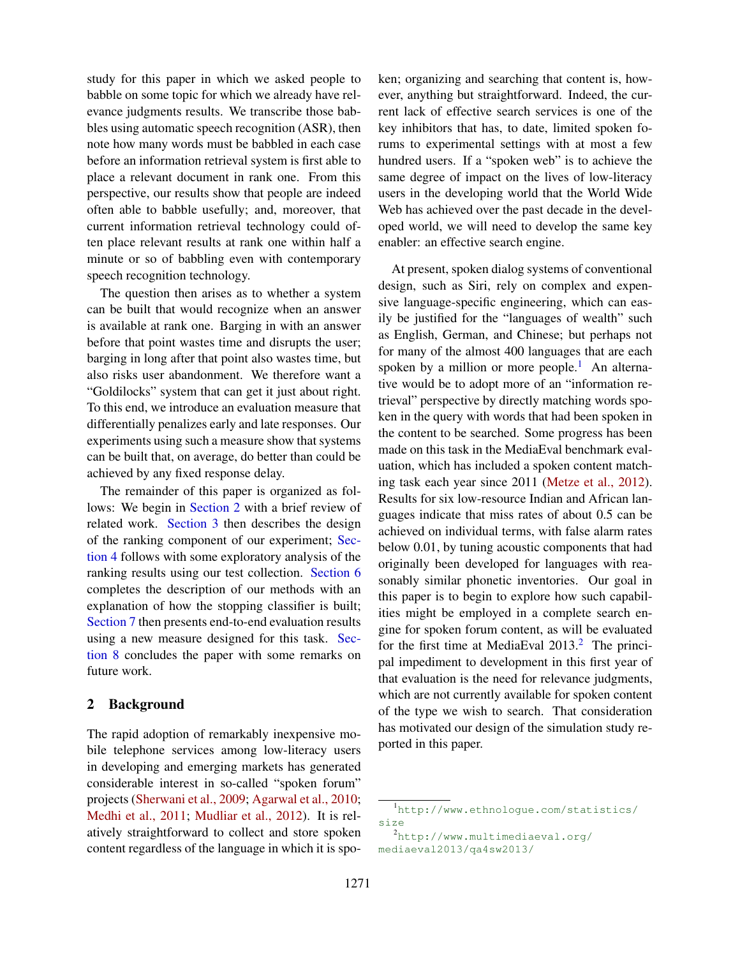study for this paper in which we asked people to babble on some topic for which we already have relevance judgments results. We transcribe those babbles using automatic speech recognition (ASR), then note how many words must be babbled in each case before an information retrieval system is first able to place a relevant document in rank one. From this perspective, our results show that people are indeed often able to babble usefully; and, moreover, that current information retrieval technology could often place relevant results at rank one within half a minute or so of babbling even with contemporary speech recognition technology.

The question then arises as to whether a system can be built that would recognize when an answer is available at rank one. Barging in with an answer before that point wastes time and disrupts the user; barging in long after that point also wastes time, but also risks user abandonment. We therefore want a "Goldilocks" system that can get it just about right. To this end, we introduce an evaluation measure that differentially penalizes early and late responses. Our experiments using such a measure show that systems can be built that, on average, do better than could be achieved by any fixed response delay.

The remainder of this paper is organized as follows: We begin in Section 2 with a brief review of related work. Section 3 then describes the design of the ranking component of our experiment; Section 4 follows with some exploratory analysis of the ranking results using our test collection. Section 6 completes the description of our methods with an explanation of how the stopping classifier is built; Section 7 then presents end-to-end evaluation results using a new measure designed for this task. Section 8 concludes the paper with some remarks on future work.

# 2 Background

The rapid adoption of remarkably inexpensive mobile telephone services among low-literacy users in developing and emerging markets has generated considerable interest in so-called "spoken forum" projects (Sherwani et al., 2009; Agarwal et al., 2010; Medhi et al., 2011; Mudliar et al., 2012). It is relatively straightforward to collect and store spoken content regardless of the language in which it is spoken; organizing and searching that content is, however, anything but straightforward. Indeed, the current lack of effective search services is one of the key inhibitors that has, to date, limited spoken forums to experimental settings with at most a few hundred users. If a "spoken web" is to achieve the same degree of impact on the lives of low-literacy users in the developing world that the World Wide Web has achieved over the past decade in the developed world, we will need to develop the same key enabler: an effective search engine.

At present, spoken dialog systems of conventional design, such as Siri, rely on complex and expensive language-specific engineering, which can easily be justified for the "languages of wealth" such as English, German, and Chinese; but perhaps not for many of the almost 400 languages that are each spoken by a million or more people.<sup>1</sup> An alternative would be to adopt more of an "information retrieval" perspective by directly matching words spoken in the query with words that had been spoken in the content to be searched. Some progress has been made on this task in the MediaEval benchmark evaluation, which has included a spoken content matching task each year since 2011 (Metze et al., 2012). Results for six low-resource Indian and African languages indicate that miss rates of about 0.5 can be achieved on individual terms, with false alarm rates below 0.01, by tuning acoustic components that had originally been developed for languages with reasonably similar phonetic inventories. Our goal in this paper is to begin to explore how such capabilities might be employed in a complete search engine for spoken forum content, as will be evaluated for the first time at MediaEval  $2013<sup>2</sup>$ . The principal impediment to development in this first year of that evaluation is the need for relevance judgments, which are not currently available for spoken content of the type we wish to search. That consideration has motivated our design of the simulation study reported in this paper.

<sup>1</sup>http://www.ethnologue.com/statistics/ size

<sup>2</sup>http://www.multimediaeval.org/ mediaeval2013/qa4sw2013/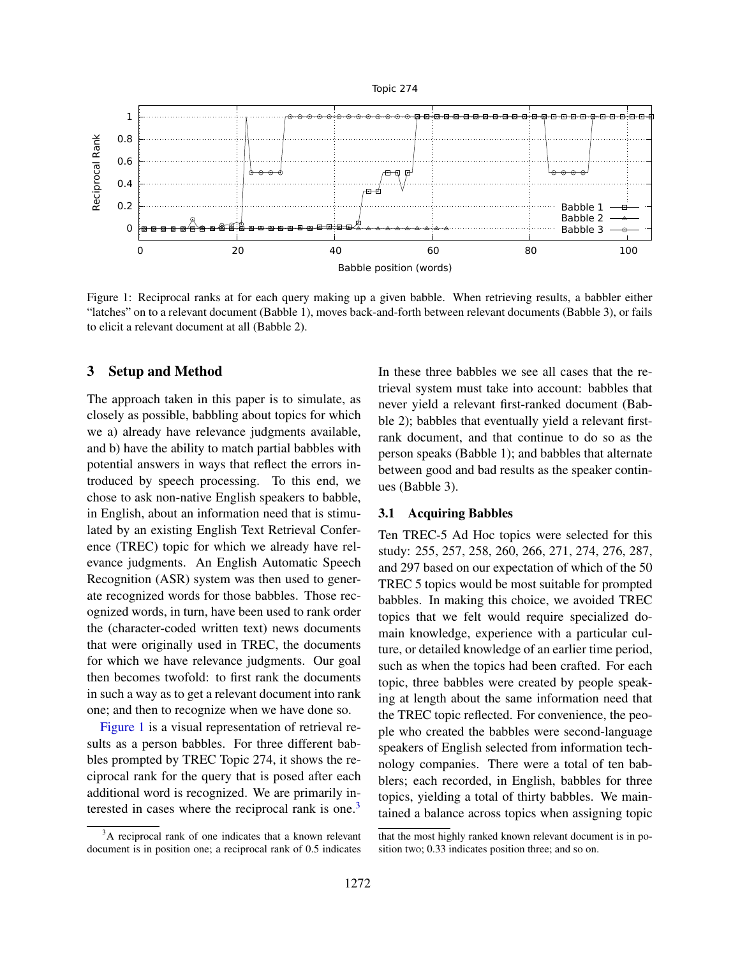



Figure 1: Reciprocal ranks at for each query making up a given babble. When retrieving results, a babbler either "latches" on to a relevant document (Babble 1), moves back-and-forth between relevant documents (Babble 3), or fails to elicit a relevant document at all (Babble 2).

# 3 Setup and Method

The approach taken in this paper is to simulate, as closely as possible, babbling about topics for which we a) already have relevance judgments available, and b) have the ability to match partial babbles with potential answers in ways that reflect the errors introduced by speech processing. To this end, we chose to ask non-native English speakers to babble, in English, about an information need that is stimulated by an existing English Text Retrieval Conference (TREC) topic for which we already have relevance judgments. An English Automatic Speech Recognition (ASR) system was then used to generate recognized words for those babbles. Those recognized words, in turn, have been used to rank order the (character-coded written text) news documents that were originally used in TREC, the documents for which we have relevance judgments. Our goal then becomes twofold: to first rank the documents in such a way as to get a relevant document into rank one; and then to recognize when we have done so.

Figure 1 is a visual representation of retrieval results as a person babbles. For three different babbles prompted by TREC Topic 274, it shows the reciprocal rank for the query that is posed after each additional word is recognized. We are primarily interested in cases where the reciprocal rank is one.<sup>3</sup>

In these three babbles we see all cases that the retrieval system must take into account: babbles that never yield a relevant first-ranked document (Babble 2); babbles that eventually yield a relevant firstrank document, and that continue to do so as the person speaks (Babble 1); and babbles that alternate between good and bad results as the speaker continues (Babble 3).

#### 3.1 Acquiring Babbles

Ten TREC-5 Ad Hoc topics were selected for this study: 255, 257, 258, 260, 266, 271, 274, 276, 287, and 297 based on our expectation of which of the 50 TREC 5 topics would be most suitable for prompted babbles. In making this choice, we avoided TREC topics that we felt would require specialized domain knowledge, experience with a particular culture, or detailed knowledge of an earlier time period, such as when the topics had been crafted. For each topic, three babbles were created by people speaking at length about the same information need that the TREC topic reflected. For convenience, the people who created the babbles were second-language speakers of English selected from information technology companies. There were a total of ten babblers; each recorded, in English, babbles for three topics, yielding a total of thirty babbles. We maintained a balance across topics when assigning topic

<sup>&</sup>lt;sup>3</sup>A reciprocal rank of one indicates that a known relevant document is in position one; a reciprocal rank of 0.5 indicates

that the most highly ranked known relevant document is in position two; 0.33 indicates position three; and so on.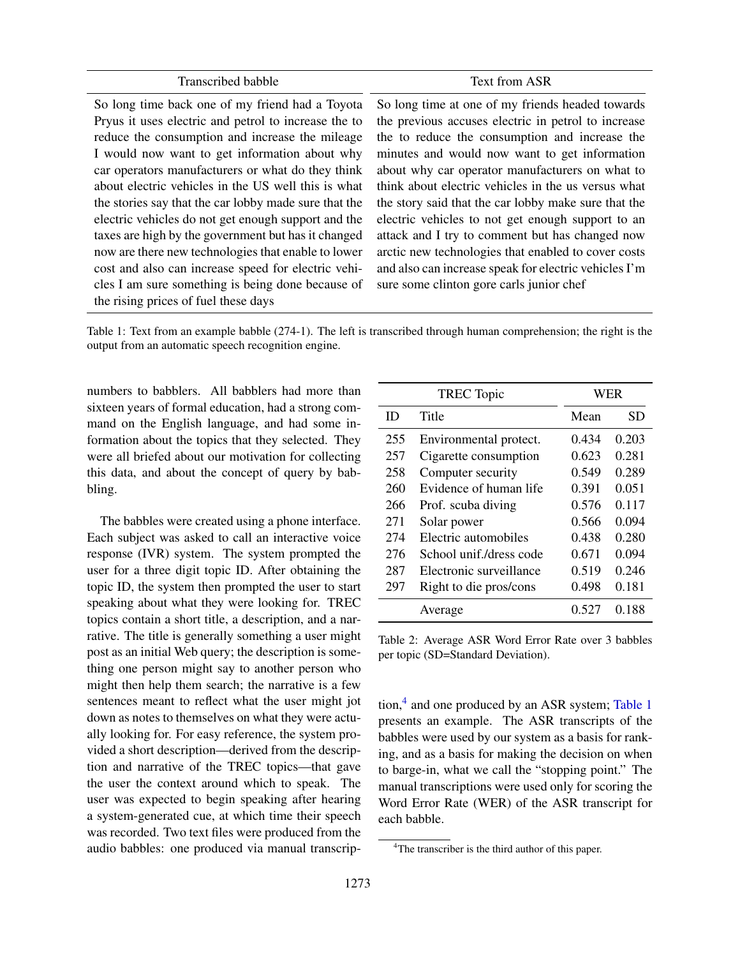#### Transcribed babble Text from ASR

So long time back one of my friend had a Toyota Pryus it uses electric and petrol to increase the to reduce the consumption and increase the mileage I would now want to get information about why car operators manufacturers or what do they think about electric vehicles in the US well this is what the stories say that the car lobby made sure that the electric vehicles do not get enough support and the taxes are high by the government but has it changed now are there new technologies that enable to lower cost and also can increase speed for electric vehicles I am sure something is being done because of the rising prices of fuel these days

So long time at one of my friends headed towards the previous accuses electric in petrol to increase the to reduce the consumption and increase the minutes and would now want to get information about why car operator manufacturers on what to think about electric vehicles in the us versus what the story said that the car lobby make sure that the electric vehicles to not get enough support to an attack and I try to comment but has changed now arctic new technologies that enabled to cover costs and also can increase speak for electric vehicles I'm sure some clinton gore carls junior chef

Table 1: Text from an example babble (274-1). The left is transcribed through human comprehension; the right is the output from an automatic speech recognition engine.

numbers to babblers. All babblers had more than sixteen years of formal education, had a strong command on the English language, and had some information about the topics that they selected. They were all briefed about our motivation for collecting this data, and about the concept of query by babbling.

The babbles were created using a phone interface. Each subject was asked to call an interactive voice response (IVR) system. The system prompted the user for a three digit topic ID. After obtaining the topic ID, the system then prompted the user to start speaking about what they were looking for. TREC topics contain a short title, a description, and a narrative. The title is generally something a user might post as an initial Web query; the description is something one person might say to another person who might then help them search; the narrative is a few sentences meant to reflect what the user might jot down as notes to themselves on what they were actually looking for. For easy reference, the system provided a short description—derived from the description and narrative of the TREC topics—that gave the user the context around which to speak. The user was expected to begin speaking after hearing a system-generated cue, at which time their speech was recorded. Two text files were produced from the audio babbles: one produced via manual transcrip-

| <b>TREC</b> Topic |                         | WER   |       |  |
|-------------------|-------------------------|-------|-------|--|
| ID                | Title                   | Mean  | SD    |  |
| 255               | Environmental protect.  | 0.434 | 0.203 |  |
| 257               | Cigarette consumption   | 0.623 | 0.281 |  |
| 258               | Computer security       | 0.549 | 0.289 |  |
| 260               | Evidence of human life  | 0.391 | 0.051 |  |
| 266               | Prof. scuba diving      | 0.576 | 0.117 |  |
| 271               | Solar power             | 0.566 | 0.094 |  |
| 274               | Electric automobiles    | 0.438 | 0.280 |  |
| 276               | School unif./dress code | 0.671 | 0.094 |  |
| 287               | Electronic surveillance | 0.519 | 0.246 |  |
| 297               | Right to die pros/cons  | 0.498 | 0.181 |  |
|                   | Average                 | 0.527 | 0.188 |  |

Table 2: Average ASR Word Error Rate over 3 babbles per topic (SD=Standard Deviation).

tion,<sup>4</sup> and one produced by an ASR system; Table 1 presents an example. The ASR transcripts of the babbles were used by our system as a basis for ranking, and as a basis for making the decision on when to barge-in, what we call the "stopping point." The manual transcriptions were used only for scoring the Word Error Rate (WER) of the ASR transcript for each babble.

<sup>&</sup>lt;sup>4</sup>The transcriber is the third author of this paper.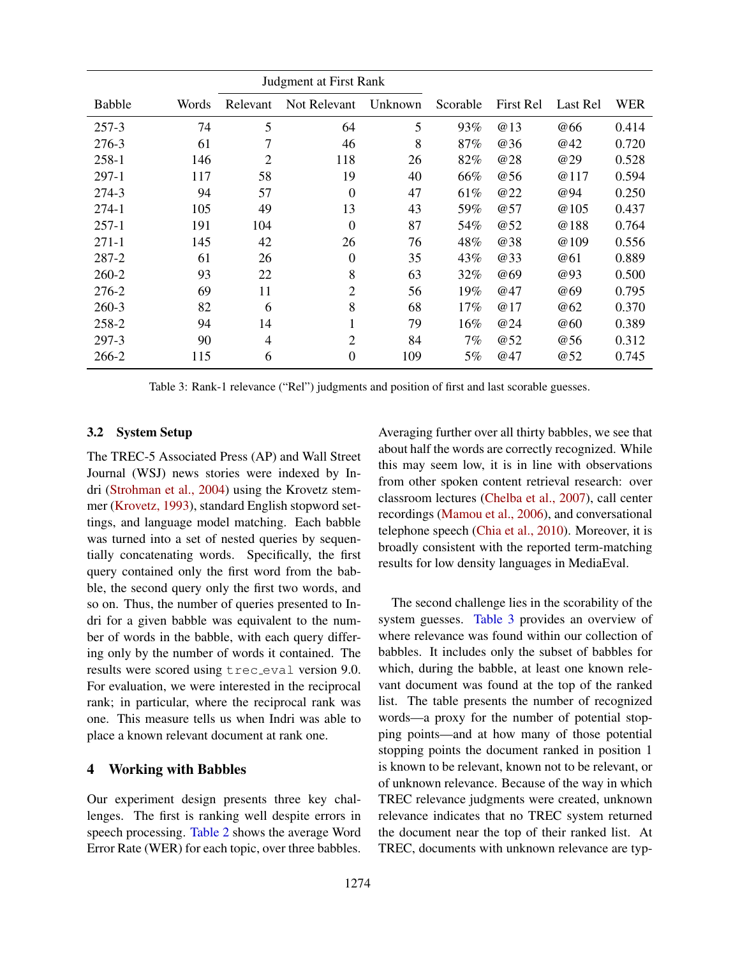|               |       | Judgment at First Rank   |                |         |          |            |            |       |
|---------------|-------|--------------------------|----------------|---------|----------|------------|------------|-------|
| <b>Babble</b> | Words | Relevant                 | Not Relevant   | Unknown | Scorable | First Rel  | Last Rel   | WER   |
| 257-3         | 74    | 5                        | 64             | 5       | 93%      | <b>@13</b> | @66        | 0.414 |
| 276-3         | 61    | 7                        | 46             | 8       | 87%      | <b>@36</b> | @42        | 0.720 |
| $258-1$       | 146   | $\overline{2}$           | 118            | 26      | 82%      | <b>@28</b> | <b>@29</b> | 0.528 |
| $297-1$       | 117   | 58                       | 19             | 40      | 66%      | <b>@56</b> | @117       | 0.594 |
| 274-3         | 94    | 57                       | $\theta$       | 47      | 61%      | <b>@22</b> | @94        | 0.250 |
| $274-1$       | 105   | 49                       | 13             | 43      | 59%      | @57        | @105       | 0.437 |
| $257-1$       | 191   | 104                      | 0              | 87      | 54%      | <b>@52</b> | @188       | 0.764 |
| $271-1$       | 145   | 42                       | 26             | 76      | 48%      | @38        | @109       | 0.556 |
| 287-2         | 61    | 26                       | $\theta$       | 35      | 43%      | <b>@33</b> | @61        | 0.889 |
| 260-2         | 93    | 22                       | 8              | 63      | 32%      | <b>@69</b> | @93        | 0.500 |
| 276-2         | 69    | 11                       | $\overline{2}$ | 56      | 19%      | @47        | @69        | 0.795 |
| $260-3$       | 82    | 6                        | 8              | 68      | 17%      | @17        | @62        | 0.370 |
| 258-2         | 94    | 14                       |                | 79      | 16%      | <b>@24</b> | @60        | 0.389 |
| 297-3         | 90    | $\overline{\mathcal{L}}$ | $\overline{2}$ | 84      | 7%       | @52        | @56        | 0.312 |
| 266-2         | 115   | 6                        | $\theta$       | 109     | 5%       | @47        | @52        | 0.745 |

Table 3: Rank-1 relevance ("Rel") judgments and position of first and last scorable guesses.

#### 3.2 System Setup

The TREC-5 Associated Press (AP) and Wall Street Journal (WSJ) news stories were indexed by Indri (Strohman et al., 2004) using the Krovetz stemmer (Krovetz, 1993), standard English stopword settings, and language model matching. Each babble was turned into a set of nested queries by sequentially concatenating words. Specifically, the first query contained only the first word from the babble, the second query only the first two words, and so on. Thus, the number of queries presented to Indri for a given babble was equivalent to the number of words in the babble, with each query differing only by the number of words it contained. The results were scored using trec eval version 9.0. For evaluation, we were interested in the reciprocal rank; in particular, where the reciprocal rank was one. This measure tells us when Indri was able to place a known relevant document at rank one.

#### 4 Working with Babbles

Our experiment design presents three key challenges. The first is ranking well despite errors in speech processing. Table 2 shows the average Word Error Rate (WER) for each topic, over three babbles.

Averaging further over all thirty babbles, we see that about half the words are correctly recognized. While this may seem low, it is in line with observations from other spoken content retrieval research: over classroom lectures (Chelba et al., 2007), call center recordings (Mamou et al., 2006), and conversational telephone speech (Chia et al., 2010). Moreover, it is broadly consistent with the reported term-matching results for low density languages in MediaEval.

The second challenge lies in the scorability of the system guesses. Table 3 provides an overview of where relevance was found within our collection of babbles. It includes only the subset of babbles for which, during the babble, at least one known relevant document was found at the top of the ranked list. The table presents the number of recognized words—a proxy for the number of potential stopping points—and at how many of those potential stopping points the document ranked in position 1 is known to be relevant, known not to be relevant, or of unknown relevance. Because of the way in which TREC relevance judgments were created, unknown relevance indicates that no TREC system returned the document near the top of their ranked list. At TREC, documents with unknown relevance are typ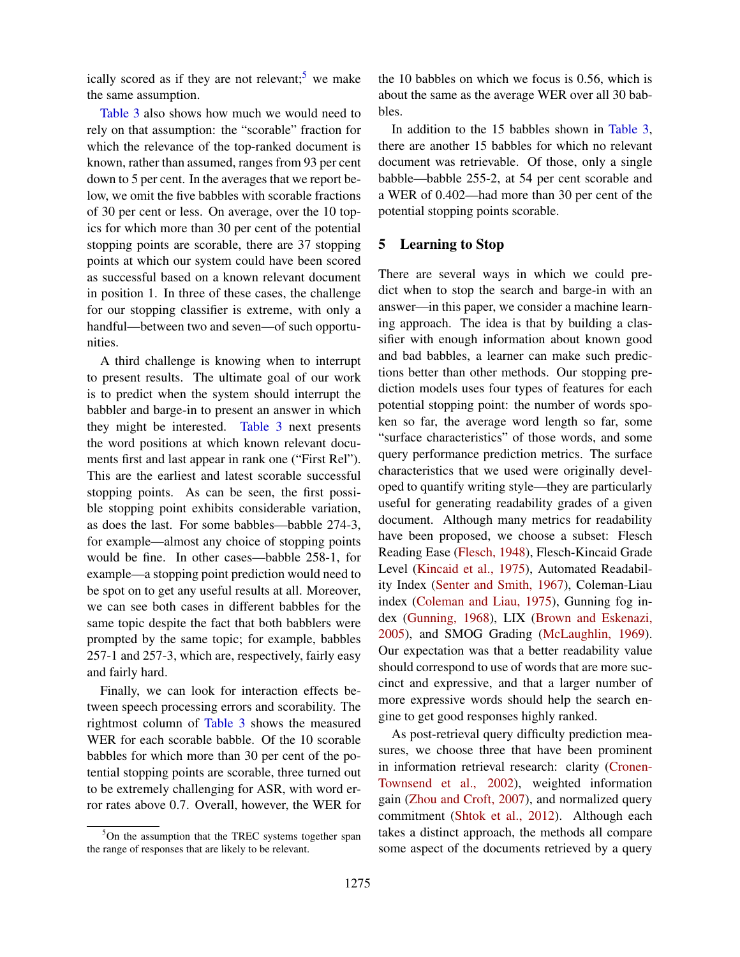ically scored as if they are not relevant; we make the same assumption.

Table 3 also shows how much we would need to rely on that assumption: the "scorable" fraction for which the relevance of the top-ranked document is known, rather than assumed, ranges from 93 per cent down to 5 per cent. In the averages that we report below, we omit the five babbles with scorable fractions of 30 per cent or less. On average, over the 10 topics for which more than 30 per cent of the potential stopping points are scorable, there are 37 stopping points at which our system could have been scored as successful based on a known relevant document in position 1. In three of these cases, the challenge for our stopping classifier is extreme, with only a handful—between two and seven—of such opportunities.

A third challenge is knowing when to interrupt to present results. The ultimate goal of our work is to predict when the system should interrupt the babbler and barge-in to present an answer in which they might be interested. Table 3 next presents the word positions at which known relevant documents first and last appear in rank one ("First Rel"). This are the earliest and latest scorable successful stopping points. As can be seen, the first possible stopping point exhibits considerable variation, as does the last. For some babbles—babble 274-3, for example—almost any choice of stopping points would be fine. In other cases—babble 258-1, for example—a stopping point prediction would need to be spot on to get any useful results at all. Moreover, we can see both cases in different babbles for the same topic despite the fact that both babblers were prompted by the same topic; for example, babbles 257-1 and 257-3, which are, respectively, fairly easy and fairly hard.

Finally, we can look for interaction effects between speech processing errors and scorability. The rightmost column of Table 3 shows the measured WER for each scorable babble. Of the 10 scorable babbles for which more than 30 per cent of the potential stopping points are scorable, three turned out to be extremely challenging for ASR, with word error rates above 0.7. Overall, however, the WER for the 10 babbles on which we focus is 0.56, which is about the same as the average WER over all 30 babbles.

In addition to the 15 babbles shown in Table 3, there are another 15 babbles for which no relevant document was retrievable. Of those, only a single babble—babble 255-2, at 54 per cent scorable and a WER of 0.402—had more than 30 per cent of the potential stopping points scorable.

# 5 Learning to Stop

There are several ways in which we could predict when to stop the search and barge-in with an answer—in this paper, we consider a machine learning approach. The idea is that by building a classifier with enough information about known good and bad babbles, a learner can make such predictions better than other methods. Our stopping prediction models uses four types of features for each potential stopping point: the number of words spoken so far, the average word length so far, some "surface characteristics" of those words, and some query performance prediction metrics. The surface characteristics that we used were originally developed to quantify writing style—they are particularly useful for generating readability grades of a given document. Although many metrics for readability have been proposed, we choose a subset: Flesch Reading Ease (Flesch, 1948), Flesch-Kincaid Grade Level (Kincaid et al., 1975), Automated Readability Index (Senter and Smith, 1967), Coleman-Liau index (Coleman and Liau, 1975), Gunning fog index (Gunning, 1968), LIX (Brown and Eskenazi, 2005), and SMOG Grading (McLaughlin, 1969). Our expectation was that a better readability value should correspond to use of words that are more succinct and expressive, and that a larger number of more expressive words should help the search engine to get good responses highly ranked.

As post-retrieval query difficulty prediction measures, we choose three that have been prominent in information retrieval research: clarity (Cronen-Townsend et al., 2002), weighted information gain (Zhou and Croft, 2007), and normalized query commitment (Shtok et al., 2012). Although each takes a distinct approach, the methods all compare some aspect of the documents retrieved by a query

 $5$ On the assumption that the TREC systems together span the range of responses that are likely to be relevant.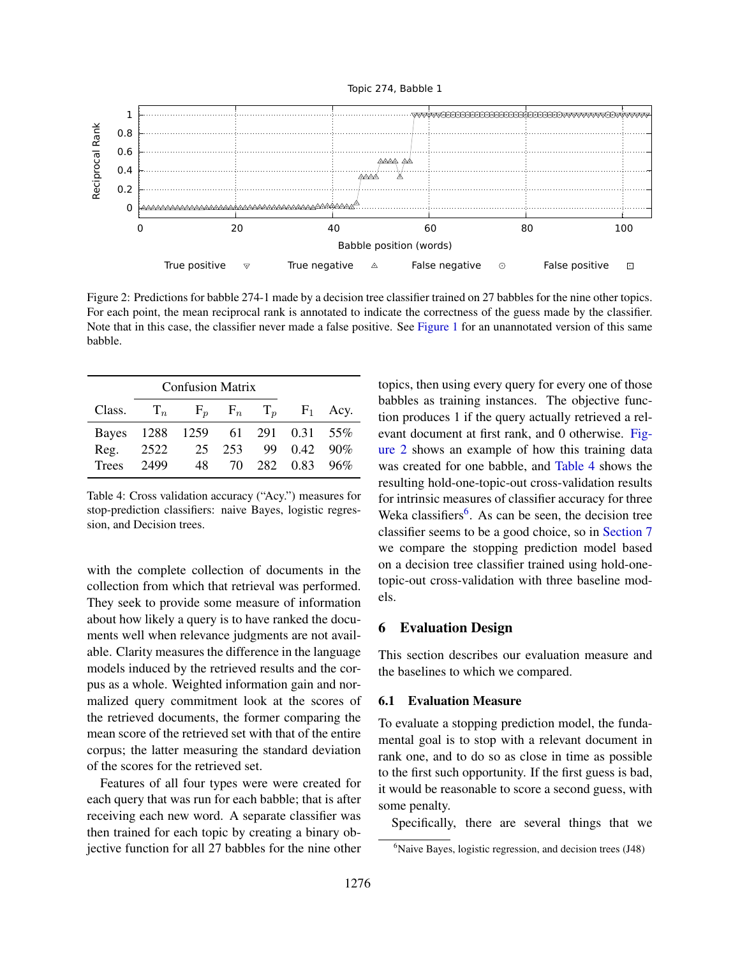



Figure 2: Predictions for babble 274-1 made by a decision tree classifier trained on 27 babbles for the nine other topics. For each point, the mean reciprocal rank is annotated to indicate the correctness of the guess made by the classifier. Note that in this case, the classifier never made a false positive. See Figure 1 for an unannotated version of this same babble.

| <b>Confusion Matrix</b> |      |                           |     |     |                  |                   |
|-------------------------|------|---------------------------|-----|-----|------------------|-------------------|
| Class.                  |      | $T_n$ $F_p$ $F_n$ $T_p$   |     |     |                  | $F_1$ Acy.        |
| Bayes                   |      | 1288 1259 61 291 0.31 55% |     |     |                  |                   |
| Reg.                    | 2522 | 25                        | 253 | 99. |                  | $0.42 \quad 90\%$ |
| <b>Trees</b>            | 2499 | 48                        |     |     | 70 282 0.83 96\% |                   |

Table 4: Cross validation accuracy ("Acy.") measures for stop-prediction classifiers: naive Bayes, logistic regression, and Decision trees.

with the complete collection of documents in the collection from which that retrieval was performed. They seek to provide some measure of information about how likely a query is to have ranked the documents well when relevance judgments are not available. Clarity measures the difference in the language models induced by the retrieved results and the corpus as a whole. Weighted information gain and normalized query commitment look at the scores of the retrieved documents, the former comparing the mean score of the retrieved set with that of the entire corpus; the latter measuring the standard deviation of the scores for the retrieved set.

Features of all four types were were created for each query that was run for each babble; that is after receiving each new word. A separate classifier was then trained for each topic by creating a binary objective function for all 27 babbles for the nine other topics, then using every query for every one of those babbles as training instances. The objective function produces 1 if the query actually retrieved a relevant document at first rank, and 0 otherwise. Figure 2 shows an example of how this training data was created for one babble, and Table 4 shows the resulting hold-one-topic-out cross-validation results for intrinsic measures of classifier accuracy for three Weka classifiers<sup>6</sup>. As can be seen, the decision tree classifier seems to be a good choice, so in Section 7 we compare the stopping prediction model based on a decision tree classifier trained using hold-onetopic-out cross-validation with three baseline models.

# 6 Evaluation Design

This section describes our evaluation measure and the baselines to which we compared.

#### 6.1 Evaluation Measure

To evaluate a stopping prediction model, the fundamental goal is to stop with a relevant document in rank one, and to do so as close in time as possible to the first such opportunity. If the first guess is bad, it would be reasonable to score a second guess, with some penalty.

Specifically, there are several things that we

 $6$ Naive Bayes, logistic regression, and decision trees (J48)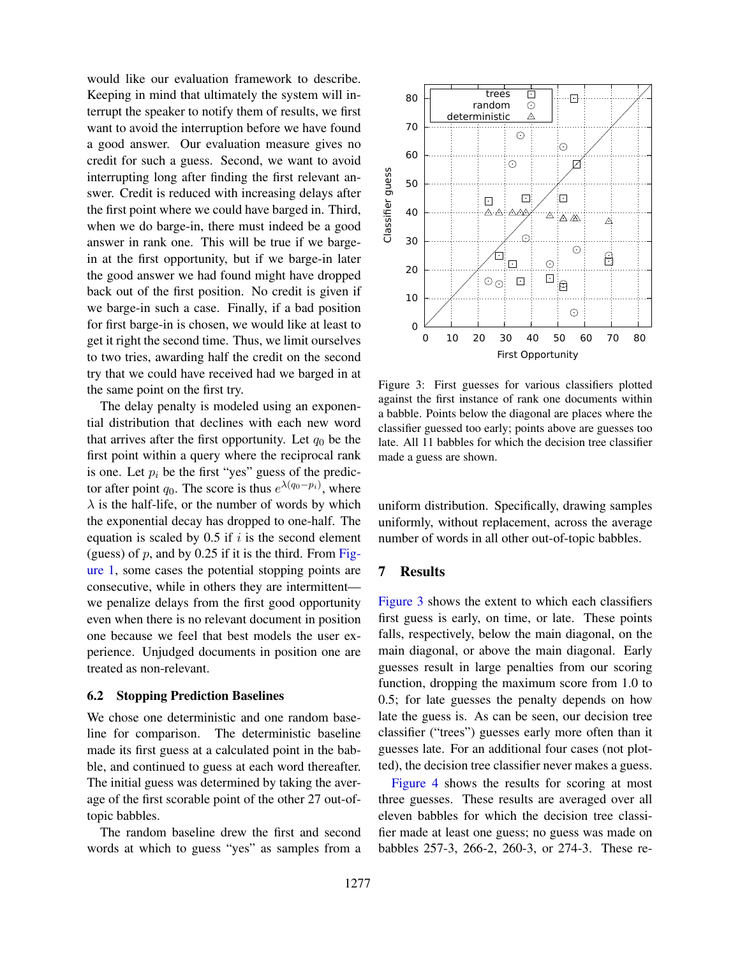would like our evaluation framework to describe. Keeping in mind that ultimately the system will interrupt the speaker to notify them of results, we first want to avoid the interruption before we have found a good answer. Our evaluation measure gives no credit for such a guess. Second, we want to avoid interrupting long after finding the first relevant answer. Credit is reduced with increasing delays after the first point where we could have barged in. Third, when we do barge-in, there must indeed be a good answer in rank one. This will be true if we bargein at the first opportunity, but if we barge-in later the good answer we had found might have dropped back out of the first position. No credit is given if we barge-in such a case. Finally, if a bad position for first barge-in is chosen, we would like at least to get it right the second time. Thus, we limit ourselves to two tries, awarding half the credit on the second try that we could have received had we barged in at the same point on the first try.

The delay penalty is modeled using an exponential distribution that declines with each new word that arrives after the first opportunity. Let  $q_0$  be the first point within a query where the reciprocal rank is one. Let  $p_i$  be the first "yes" guess of the predictor after point  $q_0$ . The score is thus  $e^{\lambda(q_0-p_i)}$ , where  $\lambda$  is the half-life, or the number of words by which the exponential decay has dropped to one-half. The equation is scaled by  $0.5$  if  $i$  is the second element (guess) of  $p$ , and by 0.25 if it is the third. From Figure 1, some cases the potential stopping points are consecutive, while in others they are intermittent we penalize delays from the first good opportunity even when there is no relevant document in position one because we feel that best models the user experience. Unjudged documents in position one are treated as non-relevant.

#### 6.2 Stopping Prediction Baselines

We chose one deterministic and one random baseline for comparison. The deterministic baseline made its first guess at a calculated point in the babble, and continued to guess at each word thereafter. The initial guess was determined by taking the average of the first scorable point of the other 27 out-oftopic babbles.

The random baseline drew the first and second words at which to guess "yes" as samples from a



Figure 3: First guesses for various classifiers plotted against the first instance of rank one documents within a babble. Points below the diagonal are places where the classifier guessed too early; points above are guesses too late. All 11 babbles for which the decision tree classifier made a guess are shown.

uniform distribution. Specifically, drawing samples uniformly, without replacement, across the average number of words in all other out-of-topic babbles.

### 7 Results

Figure 3 shows the extent to which each classifiers first guess is early, on time, or late. These points falls, respectively, below the main diagonal, on the main diagonal, or above the main diagonal. Early guesses result in large penalties from our scoring function, dropping the maximum score from 1.0 to 0.5; for late guesses the penalty depends on how late the guess is. As can be seen, our decision tree classifier ("trees") guesses early more often than it guesses late. For an additional four cases (not plotted), the decision tree classifier never makes a guess.

Figure 4 shows the results for scoring at most three guesses. These results are averaged over all eleven babbles for which the decision tree classifier made at least one guess; no guess was made on babbles 257-3, 266-2, 260-3, or 274-3. These re-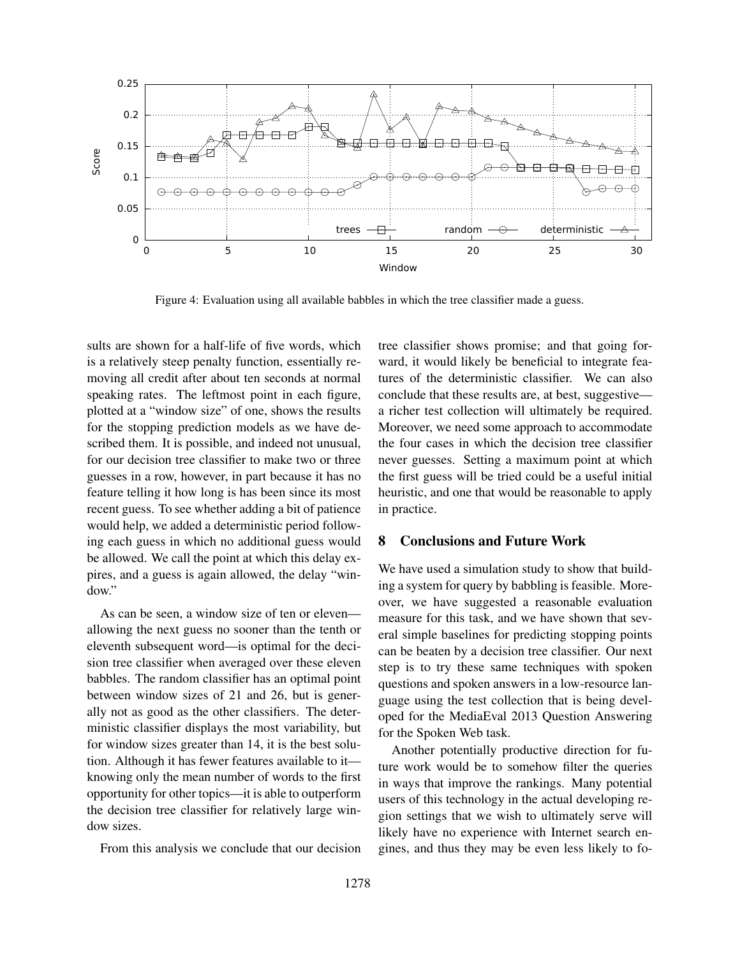

Figure 4: Evaluation using all available babbles in which the tree classifier made a guess.

sults are shown for a half-life of five words, which is a relatively steep penalty function, essentially removing all credit after about ten seconds at normal speaking rates. The leftmost point in each figure, plotted at a "window size" of one, shows the results for the stopping prediction models as we have described them. It is possible, and indeed not unusual, for our decision tree classifier to make two or three guesses in a row, however, in part because it has no feature telling it how long is has been since its most recent guess. To see whether adding a bit of patience would help, we added a deterministic period following each guess in which no additional guess would be allowed. We call the point at which this delay expires, and a guess is again allowed, the delay "window."

As can be seen, a window size of ten or eleven allowing the next guess no sooner than the tenth or eleventh subsequent word—is optimal for the decision tree classifier when averaged over these eleven babbles. The random classifier has an optimal point between window sizes of 21 and 26, but is generally not as good as the other classifiers. The deterministic classifier displays the most variability, but for window sizes greater than 14, it is the best solution. Although it has fewer features available to it knowing only the mean number of words to the first opportunity for other topics—it is able to outperform the decision tree classifier for relatively large window sizes.

From this analysis we conclude that our decision

tree classifier shows promise; and that going forward, it would likely be beneficial to integrate features of the deterministic classifier. We can also conclude that these results are, at best, suggestive a richer test collection will ultimately be required. Moreover, we need some approach to accommodate the four cases in which the decision tree classifier never guesses. Setting a maximum point at which the first guess will be tried could be a useful initial heuristic, and one that would be reasonable to apply in practice.

# 8 Conclusions and Future Work

We have used a simulation study to show that building a system for query by babbling is feasible. Moreover, we have suggested a reasonable evaluation measure for this task, and we have shown that several simple baselines for predicting stopping points can be beaten by a decision tree classifier. Our next step is to try these same techniques with spoken questions and spoken answers in a low-resource language using the test collection that is being developed for the MediaEval 2013 Question Answering for the Spoken Web task.

Another potentially productive direction for future work would be to somehow filter the queries in ways that improve the rankings. Many potential users of this technology in the actual developing region settings that we wish to ultimately serve will likely have no experience with Internet search engines, and thus they may be even less likely to fo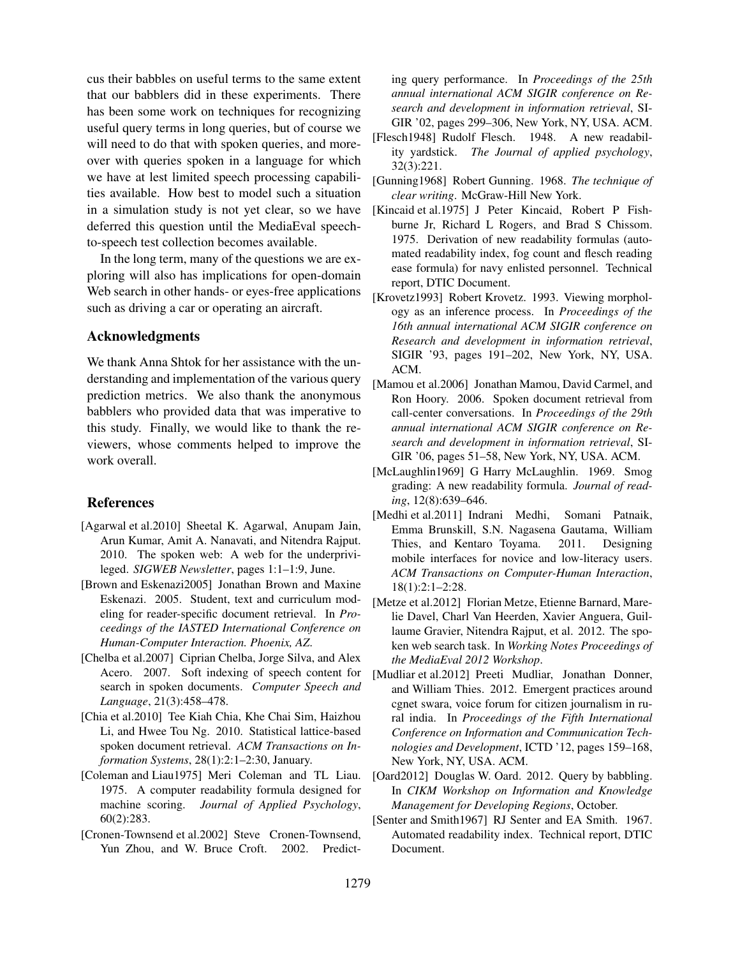cus their babbles on useful terms to the same extent that our babblers did in these experiments. There has been some work on techniques for recognizing useful query terms in long queries, but of course we will need to do that with spoken queries, and moreover with queries spoken in a language for which we have at lest limited speech processing capabilities available. How best to model such a situation in a simulation study is not yet clear, so we have deferred this question until the MediaEval speechto-speech test collection becomes available.

In the long term, many of the questions we are exploring will also has implications for open-domain Web search in other hands- or eyes-free applications such as driving a car or operating an aircraft.

### Acknowledgments

We thank Anna Shtok for her assistance with the understanding and implementation of the various query prediction metrics. We also thank the anonymous babblers who provided data that was imperative to this study. Finally, we would like to thank the reviewers, whose comments helped to improve the work overall.

#### References

- [Agarwal et al.2010] Sheetal K. Agarwal, Anupam Jain, Arun Kumar, Amit A. Nanavati, and Nitendra Rajput. 2010. The spoken web: A web for the underprivileged. *SIGWEB Newsletter*, pages 1:1–1:9, June.
- [Brown and Eskenazi2005] Jonathan Brown and Maxine Eskenazi. 2005. Student, text and curriculum modeling for reader-specific document retrieval. In *Proceedings of the IASTED International Conference on Human-Computer Interaction. Phoenix, AZ*.
- [Chelba et al.2007] Ciprian Chelba, Jorge Silva, and Alex Acero. 2007. Soft indexing of speech content for search in spoken documents. *Computer Speech and Language*, 21(3):458–478.
- [Chia et al.2010] Tee Kiah Chia, Khe Chai Sim, Haizhou Li, and Hwee Tou Ng. 2010. Statistical lattice-based spoken document retrieval. *ACM Transactions on Information Systems*, 28(1):2:1–2:30, January.
- [Coleman and Liau1975] Meri Coleman and TL Liau. 1975. A computer readability formula designed for machine scoring. *Journal of Applied Psychology*, 60(2):283.
- [Cronen-Townsend et al.2002] Steve Cronen-Townsend, Yun Zhou, and W. Bruce Croft. 2002. Predict-

ing query performance. In *Proceedings of the 25th annual international ACM SIGIR conference on Research and development in information retrieval*, SI-GIR '02, pages 299–306, New York, NY, USA. ACM.

- [Flesch1948] Rudolf Flesch. 1948. A new readability yardstick. *The Journal of applied psychology*, 32(3):221.
- [Gunning1968] Robert Gunning. 1968. *The technique of clear writing*. McGraw-Hill New York.
- [Kincaid et al.1975] J Peter Kincaid, Robert P Fishburne Jr, Richard L Rogers, and Brad S Chissom. 1975. Derivation of new readability formulas (automated readability index, fog count and flesch reading ease formula) for navy enlisted personnel. Technical report, DTIC Document.
- [Krovetz1993] Robert Krovetz. 1993. Viewing morphology as an inference process. In *Proceedings of the 16th annual international ACM SIGIR conference on Research and development in information retrieval*, SIGIR '93, pages 191–202, New York, NY, USA. ACM.
- [Mamou et al.2006] Jonathan Mamou, David Carmel, and Ron Hoory. 2006. Spoken document retrieval from call-center conversations. In *Proceedings of the 29th annual international ACM SIGIR conference on Research and development in information retrieval*, SI-GIR '06, pages 51–58, New York, NY, USA. ACM.
- [McLaughlin1969] G Harry McLaughlin. 1969. Smog grading: A new readability formula. *Journal of reading*, 12(8):639–646.
- [Medhi et al.2011] Indrani Medhi, Somani Patnaik, Emma Brunskill, S.N. Nagasena Gautama, William Thies, and Kentaro Toyama. 2011. Designing mobile interfaces for novice and low-literacy users. *ACM Transactions on Computer-Human Interaction*, 18(1):2:1–2:28.
- [Metze et al.2012] Florian Metze, Etienne Barnard, Marelie Davel, Charl Van Heerden, Xavier Anguera, Guillaume Gravier, Nitendra Rajput, et al. 2012. The spoken web search task. In *Working Notes Proceedings of the MediaEval 2012 Workshop*.
- [Mudliar et al.2012] Preeti Mudliar, Jonathan Donner, and William Thies. 2012. Emergent practices around cgnet swara, voice forum for citizen journalism in rural india. In *Proceedings of the Fifth International Conference on Information and Communication Technologies and Development*, ICTD '12, pages 159–168, New York, NY, USA. ACM.
- [Oard2012] Douglas W. Oard. 2012. Query by babbling. In *CIKM Workshop on Information and Knowledge Management for Developing Regions*, October.
- [Senter and Smith1967] RJ Senter and EA Smith. 1967. Automated readability index. Technical report, DTIC Document.